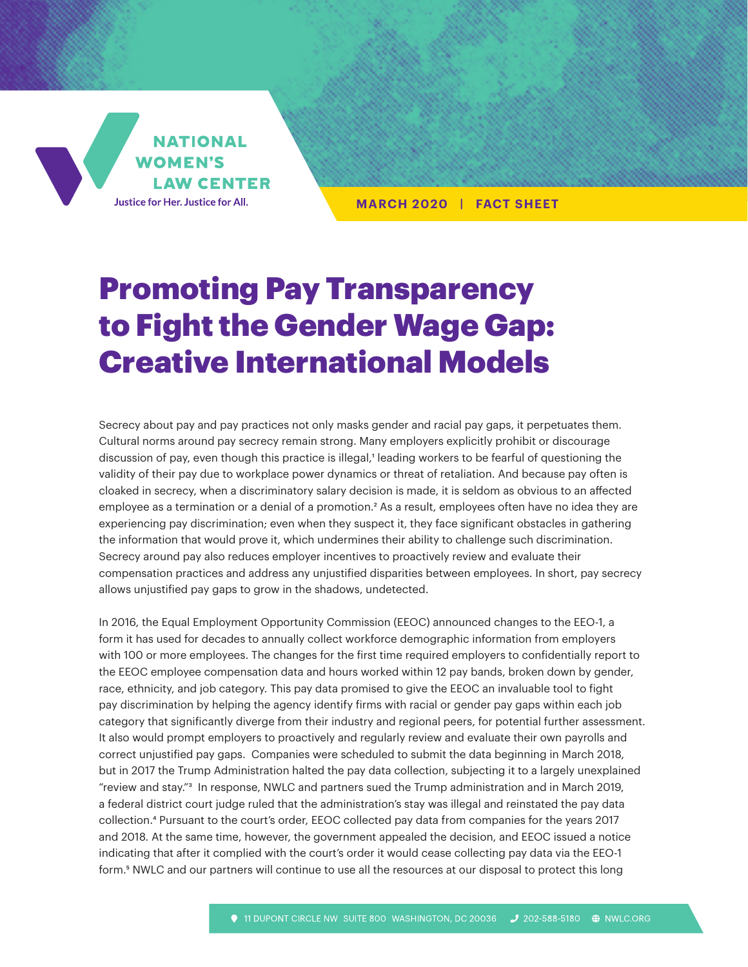

**MARCH 2020 | FACT SHEET**

# Promoting Pay Transparency to Fight the Gender Wage Gap: Creative International Models

Secrecy about pay and pay practices not only masks gender and racial pay gaps, it perpetuates them. Cultural norms around pay secrecy remain strong. Many employers explicitly prohibit or discourage discussion of pay, even though this practice is illegal,<sup>1</sup> leading workers to be fearful of questioning the validity of their pay due to workplace power dynamics or threat of retaliation. And because pay often is cloaked in secrecy, when a discriminatory salary decision is made, it is seldom as obvious to an affected employee as a termination or a denial of a promotion.<sup>2</sup> As a result, employees often have no idea they are experiencing pay discrimination; even when they suspect it, they face significant obstacles in gathering the information that would prove it, which undermines their ability to challenge such discrimination. Secrecy around pay also reduces employer incentives to proactively review and evaluate their compensation practices and address any unjustified disparities between employees. In short, pay secrecy allows unjustified pay gaps to grow in the shadows, undetected.

In 2016, the Equal Employment Opportunity Commission (EEOC) announced changes to the EEO-1, a form it has used for decades to annually collect workforce demographic information from employers with 100 or more employees. The changes for the first time required employers to confidentially report to the EEOC employee compensation data and hours worked within 12 pay bands, broken down by gender, race, ethnicity, and job category. This pay data promised to give the EEOC an invaluable tool to fight pay discrimination by helping the agency identify firms with racial or gender pay gaps within each job category that significantly diverge from their industry and regional peers, for potential further assessment. It also would prompt employers to proactively and regularly review and evaluate their own payrolls and correct unjustified pay gaps. Companies were scheduled to submit the data beginning in March 2018, but in 2017 the Trump Administration halted the pay data collection, subjecting it to a largely unexplained "review and stay."3 In response, NWLC and partners sued the Trump administration and in March 2019, a federal district court judge ruled that the administration's stay was illegal and reinstated the pay data collection.4 Pursuant to the court's order, EEOC collected pay data from companies for the years 2017 and 2018. At the same time, however, the government appealed the decision, and EEOC issued a notice indicating that after it complied with the court's order it would cease collecting pay data via the EEO-1 form.<sup>5</sup> NWLC and our partners will continue to use all the resources at our disposal to protect this long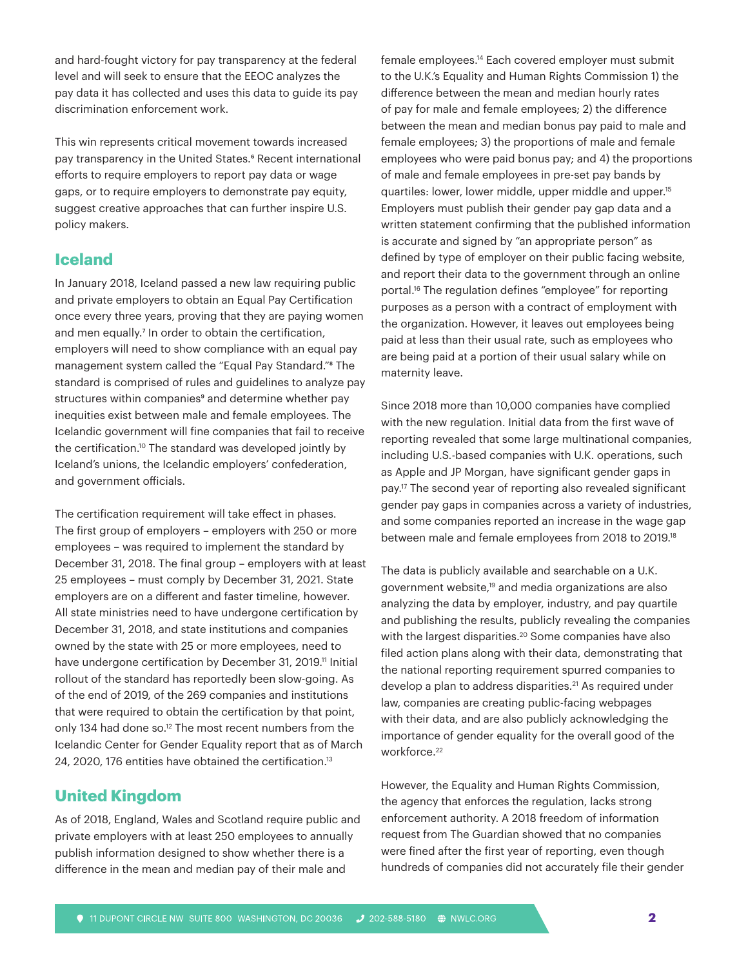and hard-fought victory for pay transparency at the federal level and will seek to ensure that the EEOC analyzes the pay data it has collected and uses this data to guide its pay discrimination enforcement work.

This win represents critical movement towards increased pay transparency in the United States.<sup>6</sup> Recent international efforts to require employers to report pay data or wage gaps, or to require employers to demonstrate pay equity, suggest creative approaches that can further inspire U.S. policy makers.

# **Iceland**

In January 2018, Iceland passed a new law requiring public and private employers to obtain an Equal Pay Certification once every three years, proving that they are paying women and men equally.<sup>7</sup> In order to obtain the certification, employers will need to show compliance with an equal pay management system called the "Equal Pay Standard."8 The standard is comprised of rules and guidelines to analyze pay structures within companies<sup>9</sup> and determine whether pay inequities exist between male and female employees. The Icelandic government will fine companies that fail to receive the certification.10 The standard was developed jointly by Iceland's unions, the Icelandic employers' confederation, and government officials.

The certification requirement will take effect in phases. The first group of employers – employers with 250 or more employees – was required to implement the standard by December 31, 2018. The final group – employers with at least 25 employees – must comply by December 31, 2021. State employers are on a different and faster timeline, however. All state ministries need to have undergone certification by December 31, 2018, and state institutions and companies owned by the state with 25 or more employees, need to have undergone certification by December 31, 2019.<sup>11</sup> Initial rollout of the standard has reportedly been slow-going. As of the end of 2019, of the 269 companies and institutions that were required to obtain the certification by that point, only 134 had done so.<sup>12</sup> The most recent numbers from the Icelandic Center for Gender Equality report that as of March 24, 2020, 176 entities have obtained the certification.13

# **United Kingdom**

As of 2018, England, Wales and Scotland require public and private employers with at least 250 employees to annually publish information designed to show whether there is a difference in the mean and median pay of their male and

female employees.14 Each covered employer must submit to the U.K.'s Equality and Human Rights Commission 1) the difference between the mean and median hourly rates of pay for male and female employees; 2) the difference between the mean and median bonus pay paid to male and female employees; 3) the proportions of male and female employees who were paid bonus pay; and 4) the proportions of male and female employees in pre-set pay bands by quartiles: lower, lower middle, upper middle and upper.15 Employers must publish their gender pay gap data and a written statement confirming that the published information is accurate and signed by "an appropriate person" as defined by type of employer on their public facing website, and report their data to the government through an online portal.16 The regulation defines "employee" for reporting purposes as a person with a contract of employment with the organization. However, it leaves out employees being paid at less than their usual rate, such as employees who are being paid at a portion of their usual salary while on maternity leave.

Since 2018 more than 10,000 companies have complied with the new regulation. Initial data from the first wave of reporting revealed that some large multinational companies, including U.S.-based companies with U.K. operations, such as Apple and JP Morgan, have significant gender gaps in pay.17 The second year of reporting also revealed significant gender pay gaps in companies across a variety of industries, and some companies reported an increase in the wage gap between male and female employees from 2018 to 2019.18

The data is publicly available and searchable on a U.K. government website,<sup>19</sup> and media organizations are also analyzing the data by employer, industry, and pay quartile and publishing the results, publicly revealing the companies with the largest disparities.<sup>20</sup> Some companies have also filed action plans along with their data, demonstrating that the national reporting requirement spurred companies to develop a plan to address disparities.<sup>21</sup> As required under law, companies are creating public-facing webpages with their data, and are also publicly acknowledging the importance of gender equality for the overall good of the workforce.<sup>22</sup>

However, the Equality and Human Rights Commission, the agency that enforces the regulation, lacks strong enforcement authority. A 2018 freedom of information request from The Guardian showed that no companies were fined after the first year of reporting, even though hundreds of companies did not accurately file their gender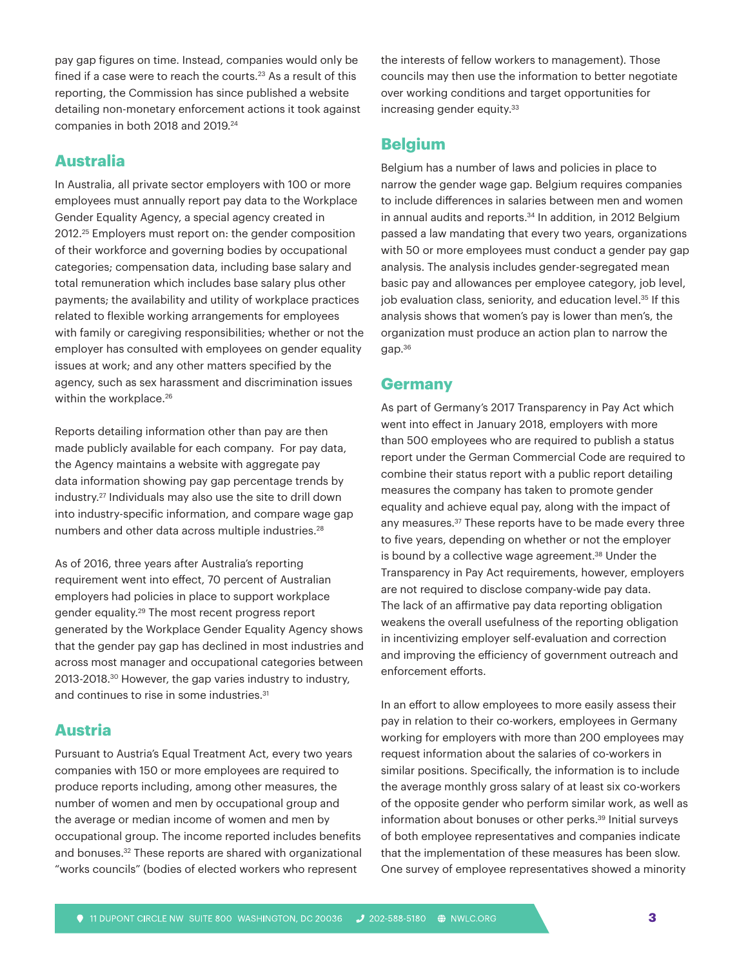pay gap figures on time. Instead, companies would only be fined if a case were to reach the courts.<sup>23</sup> As a result of this reporting, the Commission has since published a website detailing non-monetary enforcement actions it took against companies in both 2018 and 2019.<sup>24</sup>

#### **Australia**

In Australia, all private sector employers with 100 or more employees must annually report pay data to the Workplace Gender Equality Agency, a special agency created in 2012.25 Employers must report on: the gender composition of their workforce and governing bodies by occupational categories; compensation data, including base salary and total remuneration which includes base salary plus other payments; the availability and utility of workplace practices related to flexible working arrangements for employees with family or caregiving responsibilities; whether or not the employer has consulted with employees on gender equality issues at work; and any other matters specified by the agency, such as sex harassment and discrimination issues within the workplace.<sup>26</sup>

Reports detailing information other than pay are then made publicly available for each company. For pay data, the Agency maintains a website with aggregate pay data information showing pay gap percentage trends by industry.27 Individuals may also use the site to drill down into industry-specific information, and compare wage gap numbers and other data across multiple industries.28

As of 2016, three years after Australia's reporting requirement went into effect, 70 percent of Australian employers had policies in place to support workplace gender equality.29 The most recent progress report generated by the Workplace Gender Equality Agency shows that the gender pay gap has declined in most industries and across most manager and occupational categories between 2013-2018.30 However, the gap varies industry to industry, and continues to rise in some industries.<sup>31</sup>

#### **Austria**

Pursuant to Austria's Equal Treatment Act, every two years companies with 150 or more employees are required to produce reports including, among other measures, the number of women and men by occupational group and the average or median income of women and men by occupational group. The income reported includes benefits and bonuses.<sup>32</sup> These reports are shared with organizational "works councils" (bodies of elected workers who represent

the interests of fellow workers to management). Those councils may then use the information to better negotiate over working conditions and target opportunities for increasing gender equity.<sup>33</sup>

# **Belgium**

Belgium has a number of laws and policies in place to narrow the gender wage gap. Belgium requires companies to include differences in salaries between men and women in annual audits and reports.<sup>34</sup> In addition, in 2012 Belgium passed a law mandating that every two years, organizations with 50 or more employees must conduct a gender pay gap analysis. The analysis includes gender-segregated mean basic pay and allowances per employee category, job level, job evaluation class, seniority, and education level.<sup>35</sup> If this analysis shows that women's pay is lower than men's, the organization must produce an action plan to narrow the gap.36

#### **Germany**

As part of Germany's 2017 Transparency in Pay Act which went into effect in January 2018, employers with more than 500 employees who are required to publish a status report under the German Commercial Code are required to combine their status report with a public report detailing measures the company has taken to promote gender equality and achieve equal pay, along with the impact of any measures.<sup>37</sup> These reports have to be made every three to five years, depending on whether or not the employer is bound by a collective wage agreement.<sup>38</sup> Under the Transparency in Pay Act requirements, however, employers are not required to disclose company-wide pay data. The lack of an affirmative pay data reporting obligation weakens the overall usefulness of the reporting obligation in incentivizing employer self-evaluation and correction and improving the efficiency of government outreach and enforcement efforts.

In an effort to allow employees to more easily assess their pay in relation to their co-workers, employees in Germany working for employers with more than 200 employees may request information about the salaries of co-workers in similar positions. Specifically, the information is to include the average monthly gross salary of at least six co-workers of the opposite gender who perform similar work, as well as information about bonuses or other perks.<sup>39</sup> Initial surveys of both employee representatives and companies indicate that the implementation of these measures has been slow. One survey of employee representatives showed a minority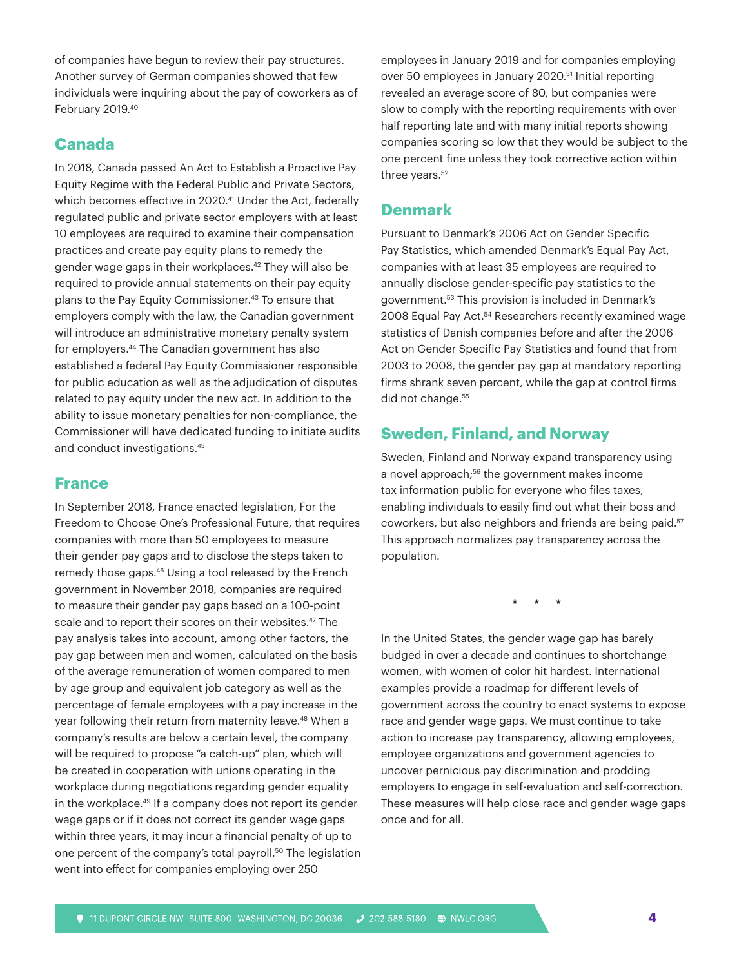of companies have begun to review their pay structures. Another survey of German companies showed that few individuals were inquiring about the pay of coworkers as of February 2019.40

### **Canada**

In 2018, Canada passed An Act to Establish a Proactive Pay Equity Regime with the Federal Public and Private Sectors, which becomes effective in 2020.<sup>41</sup> Under the Act, federally regulated public and private sector employers with at least 10 employees are required to examine their compensation practices and create pay equity plans to remedy the gender wage gaps in their workplaces.42 They will also be required to provide annual statements on their pay equity plans to the Pay Equity Commissioner.<sup>43</sup> To ensure that employers comply with the law, the Canadian government will introduce an administrative monetary penalty system for employers.44 The Canadian government has also established a federal Pay Equity Commissioner responsible for public education as well as the adjudication of disputes related to pay equity under the new act. In addition to the ability to issue monetary penalties for non-compliance, the Commissioner will have dedicated funding to initiate audits and conduct investigations.45

#### **France**

In September 2018, France enacted legislation, For the Freedom to Choose One's Professional Future, that requires companies with more than 50 employees to measure their gender pay gaps and to disclose the steps taken to remedy those gaps.<sup>46</sup> Using a tool released by the French government in November 2018, companies are required to measure their gender pay gaps based on a 100-point scale and to report their scores on their websites.<sup>47</sup> The pay analysis takes into account, among other factors, the pay gap between men and women, calculated on the basis of the average remuneration of women compared to men by age group and equivalent job category as well as the percentage of female employees with a pay increase in the year following their return from maternity leave.<sup>48</sup> When a company's results are below a certain level, the company will be required to propose "a catch-up" plan, which will be created in cooperation with unions operating in the workplace during negotiations regarding gender equality in the workplace.<sup>49</sup> If a company does not report its gender wage gaps or if it does not correct its gender wage gaps within three years, it may incur a financial penalty of up to one percent of the company's total payroll.<sup>50</sup> The legislation went into effect for companies employing over 250

employees in January 2019 and for companies employing over 50 employees in January 2020.<sup>51</sup> Initial reporting revealed an average score of 80, but companies were slow to comply with the reporting requirements with over half reporting late and with many initial reports showing companies scoring so low that they would be subject to the one percent fine unless they took corrective action within three years.<sup>52</sup>

# **Denmark**

Pursuant to Denmark's 2006 Act on Gender Specific Pay Statistics, which amended Denmark's Equal Pay Act, companies with at least 35 employees are required to annually disclose gender-specific pay statistics to the government.53 This provision is included in Denmark's 2008 Equal Pay Act.<sup>54</sup> Researchers recently examined wage statistics of Danish companies before and after the 2006 Act on Gender Specific Pay Statistics and found that from 2003 to 2008, the gender pay gap at mandatory reporting firms shrank seven percent, while the gap at control firms did not change.<sup>55</sup>

## **Sweden, Finland, and Norway**

Sweden, Finland and Norway expand transparency using a novel approach;<sup>56</sup> the government makes income tax information public for everyone who files taxes, enabling individuals to easily find out what their boss and coworkers, but also neighbors and friends are being paid.<sup>57</sup> This approach normalizes pay transparency across the population.

\* \* \*

In the United States, the gender wage gap has barely budged in over a decade and continues to shortchange women, with women of color hit hardest. International examples provide a roadmap for different levels of government across the country to enact systems to expose race and gender wage gaps. We must continue to take action to increase pay transparency, allowing employees, employee organizations and government agencies to uncover pernicious pay discrimination and prodding employers to engage in self-evaluation and self-correction. These measures will help close race and gender wage gaps once and for all.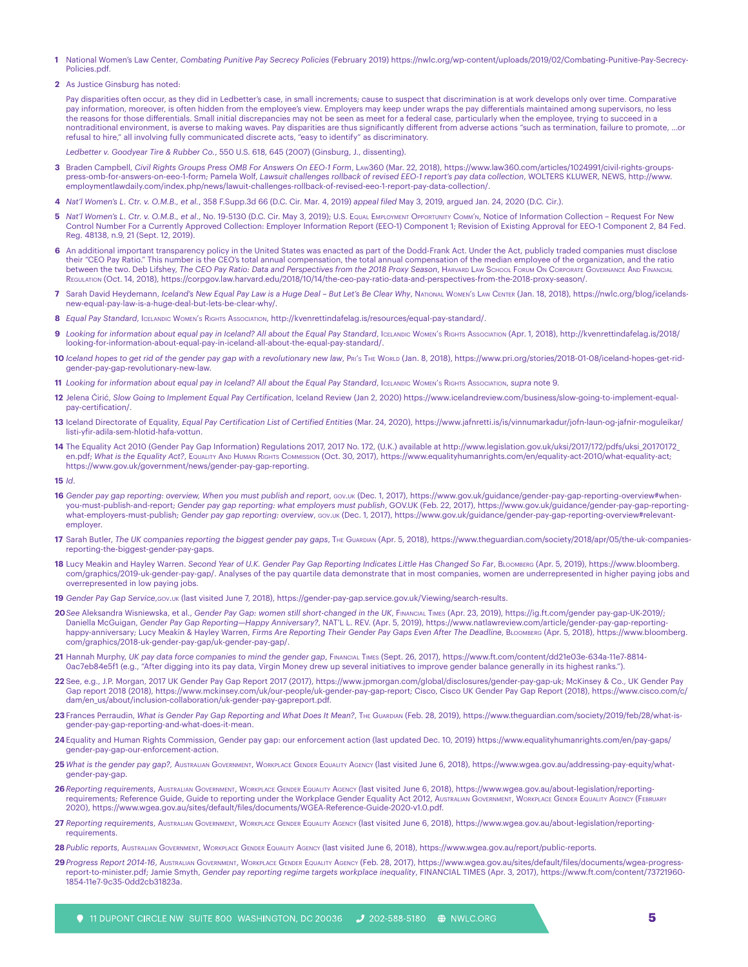- **1** National Women's Law Center, *Combating Punitive Pay Secrecy Policies* (February 2019) https://nwlc.org/wp-content/uploads/2019/02/Combating-Punitive-Pay-Secrecy-Policies.pdf.
- **2** As Justice Ginsburg has noted:

Pay disparities often occur, as they did in Ledbetter's case, in small increments; cause to suspect that discrimination is at work develops only over time. Comparative pay information, moreover, is often hidden from the employee's view. Employers may keep under wraps the pay differentials maintained among supervisors, no less the reasons for those differentials. Small initial discrepancies may not be seen as meet for a federal case, particularly when the employee, trying to succeed in a nontraditional environment, is averse to making waves. Pay disparities are thus significantly different from adverse actions "such as termination, failure to promote, …or refusal to hire," all involving fully communicated discrete acts, "easy to identify" as discriminatory.

*Ledbetter v. Goodyear Tire & Rubber Co.*, 550 U.S. 618, 645 (2007) (Ginsburg, J., dissenting).

- **3** Braden Campbell, *Civil Rights Groups Press OMB For Answers On EEO-1 Form*, Law360 (Mar. 22, 2018), https://www.law360.com/articles/1024991/civil-rights-groupspress-omb-for-answers-on-eeo-1-form; Pamela Wolf, *Lawsuit challenges rollback of revised EEO-1 report's pay data collection*, WOLTERS KLUWER, NEWS, http://www. employmentlawdaily.com/index.php/news/lawuit-challenges-rollback-of-revised-eeo-1-report-pay-data-collection/.
- **4** *Nat'l Women's L. Ctr. v. O.M.B., et al.*, 358 F.Supp.3d 66 (D.C. Cir. Mar. 4, 2019) *appeal filed* May 3, 2019, argued Jan. 24, 2020 (D.C. Cir.).
- **5** *Nat'l Women's L. Ctr. v. O.M.B., et al*., No. 19-5130 (D.C. Cir. May 3, 2019); U.S. Equal Employment Opportunity Comm'n, Notice of Information Collection Request For New Control Number For a Currently Approved Collection: Employer Information Report (EEO-1) Component 1; Revision of Existing Approval for EEO-1 Component 2, 84 Fed. Reg. 48138, n.9, 21 (Sept. 12, 2019).
- **6** An additional important transparency policy in the United States was enacted as part of the Dodd-Frank Act. Under the Act, publicly traded companies must disclose their "CEO Pay Ratio." This number is the CEO's total annual compensation, the total annual compensation of the median employee of the organization, and the ratio between the two. Deb Lifshey, The CEO Pay Ratio: Data and Perspectives from the 2018 Proxy Season, HARVARD LAW SCHOOL FORUM ON CORPORATE GOVERNANCE AND FINANCIAL Regulation (Oct. 14, 2018), https://corpgov.law.harvard.edu/2018/10/14/the-ceo-pay-ratio-data-and-perspectives-from-the-2018-proxy-season/.
- **7** Sarah David Heydemann, *Iceland's New Equal Pay Law is a Huge Deal But Let's Be Clear Why*, National Women's Law Center (Jan. 18, 2018), https://nwlc.org/blog/icelandsnew-equal-pay-law-is-a-huge-deal-but-lets-be-clear-why/.
- 8 *Equal Pay Standard*, Icelandic Women's Rights Association, http://kvenrettindafelag.is/resources/equal-pay-standard/.
- **9** *Looking for information about equal pay in Iceland? All about the Equal Pay Standard*, Icelandic Women's Rights Association (Apr. 1, 2018), http://kvenrettindafelag.is/2018/ looking-for-information-about-equal-pay-in-iceland-all-about-the-equal-pay-standard/.
- 10 Iceland hopes to get rid of the gender pay gap with a revolutionary new law, PRI's THE WORLD (Jan. 8, 2018), https://www.pri.org/stories/2018-01-08/iceland-hopes-get-ridgender-pay-gap-revolutionary-new-law.
- 11 *Looking for information about equal pay in Iceland? All about the Equal Pay Standard, IcELANDIC WOMEN'S RIGHTS Association, <i>supra* note 9.
- **12** Jelena Ćirić, *Slow Going to Implement Equal Pay Certification*, Iceland Review (Jan 2, 2020) https://www.icelandreview.com/business/slow-going-to-implement-equalpay-certification/.
- **13** Iceland Directorate of Equality, *Equal Pay Certification List of Certified Entities* (Mar. 24, 2020), https://www.jafnretti.is/is/vinnumarkadur/jofn-laun-og-jafnir-moguleikar/ listi-yfir-adila-sem-hlotid-hafa-vottun.
- **14** The Equality Act 2010 (Gender Pay Gap Information) Regulations 2017, 2017 No. 172, (U.K.) available at http://www.legislation.gov.uk/uksi/2017/172/pdfs/uksi\_20170172\_ en.pdf; *What is the Equality Act?*, Equality And Human Rights Commission (Oct. 30, 2017), https://www.equalityhumanrights.com/en/equality-act-2010/what-equality-act; https://www.gov.uk/government/news/gender-pay-gap-reporting.

**15** *Id*.

- **16** *Gender pay gap reporting: overview, When you must publish and report*, gov.uk (Dec. 1, 2017), https://www.gov.uk/guidance/gender-pay-gap-reporting-overview#whenyou-must-publish-and-report; *Gender pay gap reporting: what employers must publish*, GOV.UK (Feb. 22, 2017), https://www.gov.uk/guidance/gender-pay-gap-reportingwhat-employers-must-publish; *Gender pay gap reporting: overview*, gov.uk (Dec. 1, 2017), https://www.gov.uk/guidance/gender-pay-gap-reporting-overview#relevantemployer.
- 17 Sarah Butler, The UK companies reporting the biggest gender pay gaps, T<sub>HE</sub> Guardian (Apr. 5, 2018), https://www.theguardian.com/society/2018/apr/05/the-uk-companiesreporting-the-biggest-gender-pay-gaps.
- 18 Lucy Meakin and Hayley Warren. Second Year of U.K. Gender Pay Gap Reporting Indicates Little Has Changed So Far, BLOOMBERG (Apr. 5, 2019), https://www.bloomberg. com/graphics/2019-uk-gender-pay-gap/. Analyses of the pay quartile data demonstrate that in most companies, women are underrepresented in higher paying jobs and overrepresented in low paying jobs.
- **19** *Gender Pay Gap Service*,gov.uk (last visited June 7, 2018), https://gender-pay-gap.service.gov.uk/Viewing/search-results.
- **20***See* Aleksandra Wisniewska, et al., *Gender Pay Gap: women still short-changed in the UK*, Financial Times (Apr. 23, 2019), https://ig.ft.com/gender pay-gap-UK-2019/; Daniella McGuigan, *Gender Pay Gap Reporting—Happy Anniversary?*, NAT'L L. REV. (Apr. 5, 2019), https://www.natlawreview.com/article/gender-pay-gap-reportinghappy-anniversary; Lucy Meakin & Hayley Warren, Firms Are Reporting Their Gender Pay Gaps Even After The Deadline, BLoombers (Apr. 5, 2018), https://www.bloomberg. com/graphics/2018-uk-gender-pay-gap/uk-gender-pay-gap/.
- **21** Hannah Murphy, *UK pay data force companies to mind the gender gap*, Financial Times (Sept. 26, 2017), https://www.ft.com/content/dd21e03e-634a-11e7-8814- 0ac7eb84e5f1 (e.g., "After digging into its pay data, Virgin Money drew up several initiatives to improve gender balance generally in its highest ranks.").
- **22** See, e.g., J.P. Morgan, 2017 UK Gender Pay Gap Report 2017 (2017), https://www.jpmorgan.com/global/disclosures/gender-pay-gap-uk; McKinsey & Co., UK Gender Pay Gap report 2018 (2018), https://www.mckinsey.com/uk/our-people/uk-gender-pay-gap-report; Cisco, Cisco UK Gender Pay Gap Report (2018), https://www.cisco.com/c/ dam/en\_us/about/inclusion-collaboration/uk-gender-pay-gapreport.pdf.
- 23 Frances Perraudin, What is Gender Pay Gap Reporting and What Does It Mean?, The Guardan (Feb. 28, 2019), https://www.theguardian.com/society/2019/feb/28/what-isgender-pay-gap-reporting-and-what-does-it-mean.
- **24**Equality and Human Rights Commission, Gender pay gap: our enforcement action (last updated Dec. 10, 2019) https://www.equalityhumanrights.com/en/pay-gaps/ gender-pay-gap-our-enforcement-action.
- **25** *What is the gender pay gap?,* Australian Government, Workplace Gender Equality Agency (last visited June 6, 2018), https://www.wgea.gov.au/addressing-pay-equity/whatgender-pay-gap.
- **26***Reporting requirements*, Australian Government, Workplace Gender Equality Agency (last visited June 6, 2018), https://www.wgea.gov.au/about-legislation/reportingrequirements; Reference Guide, Guide to reporting under the Workplace Gender Equality Act 2012, Australian Government, Workplace Gender Equality Agency (February 2020), https://www.wgea.gov.au/sites/default/files/documents/WGEA-Reference-Guide-2020-v1.0.pdf.
- 27 Reporting requirements, Australian Government, Workplace Gender Equality Agency (last visited June 6, 2018), https://www.wgea.gov.au/about-legislation/reportingrequirements.
- **28***Public reports*, Australian Government, Workplace Gender Equality Agency (last visited June 6, 2018), https://www.wgea.gov.au/report/public-reports.
- **29***Progress Report 2014-16*, Australian Government, Workplace Gender Equality Agency (Feb. 28, 2017), https://www.wgea.gov.au/sites/default/files/documents/wgea-progressreport-to-minister.pdf; Jamie Smyth, *Gender pay reporting regime targets workplace inequality*, FINANCIAL TIMES (Apr. 3, 2017), https://www.ft.com/content/73721960- 1854-11e7-9c35-0dd2cb31823a.